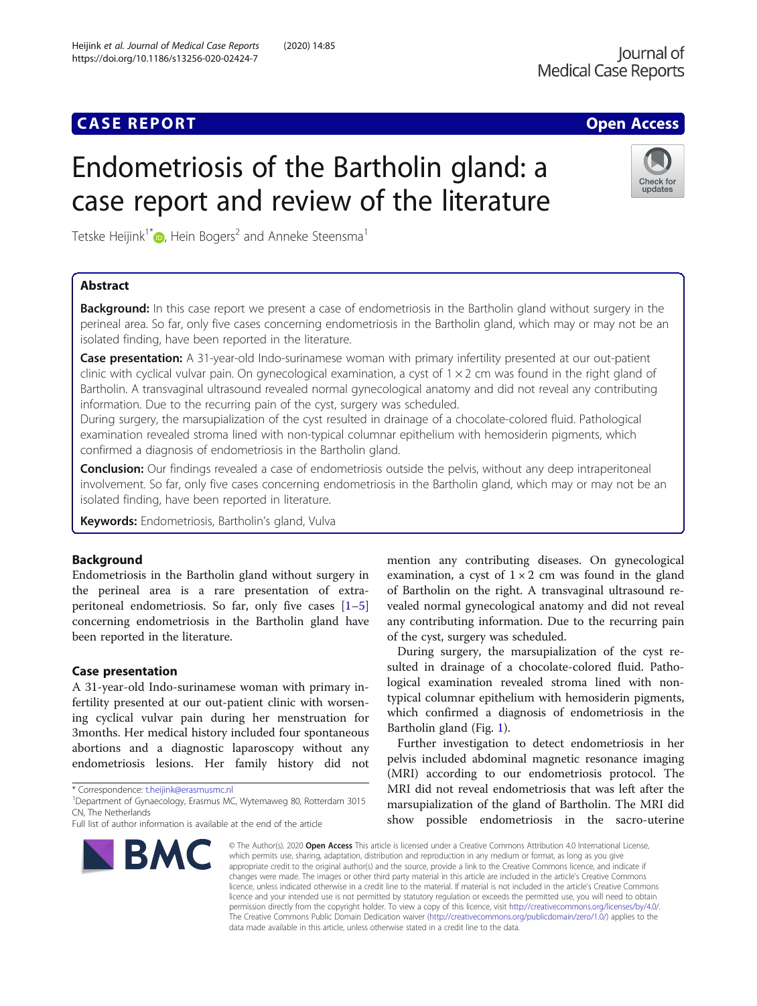## **CASE REPORT CASE ACCESS**

Check for updates

# Endometriosis of the Bartholin gland: a case report and review of the literature

Tetske Heijink<sup>1\*</sup> $\bullet$ [,](http://orcid.org/0000-0002-0597-7158) Hein Bogers<sup>2</sup> and Anneke Steensma<sup>1</sup>

## Abstract

**Background:** In this case report we present a case of endometriosis in the Bartholin gland without surgery in the perineal area. So far, only five cases concerning endometriosis in the Bartholin gland, which may or may not be an isolated finding, have been reported in the literature.

Case presentation: A 31-year-old Indo-surinamese woman with primary infertility presented at our out-patient clinic with cyclical vulvar pain. On gynecological examination, a cyst of  $1 \times 2$  cm was found in the right gland of Bartholin. A transvaginal ultrasound revealed normal gynecological anatomy and did not reveal any contributing information. Due to the recurring pain of the cyst, surgery was scheduled.

During surgery, the marsupialization of the cyst resulted in drainage of a chocolate-colored fluid. Pathological examination revealed stroma lined with non-typical columnar epithelium with hemosiderin pigments, which confirmed a diagnosis of endometriosis in the Bartholin gland.

**Conclusion:** Our findings revealed a case of endometriosis outside the pelvis, without any deep intraperitoneal involvement. So far, only five cases concerning endometriosis in the Bartholin gland, which may or may not be an isolated finding, have been reported in literature.

Keywords: Endometriosis, Bartholin's gland, Vulva

#### Background

Endometriosis in the Bartholin gland without surgery in the perineal area is a rare presentation of extraperitoneal endometriosis. So far, only five cases  $[1-5]$  $[1-5]$  $[1-5]$  $[1-5]$  $[1-5]$ concerning endometriosis in the Bartholin gland have been reported in the literature.

#### Case presentation

A 31-year-old Indo-surinamese woman with primary infertility presented at our out-patient clinic with worsening cyclical vulvar pain during her menstruation for 3months. Her medical history included four spontaneous abortions and a diagnostic laparoscopy without any endometriosis lesions. Her family history did not

\* Correspondence: [t.heijink@erasmusmc.nl](mailto:t.heijink@erasmusmc.nl) <sup>1</sup>

Full list of author information is available at the end of the article



mention any contributing diseases. On gynecological examination, a cyst of  $1 \times 2$  cm was found in the gland of Bartholin on the right. A transvaginal ultrasound revealed normal gynecological anatomy and did not reveal any contributing information. Due to the recurring pain of the cyst, surgery was scheduled.

During surgery, the marsupialization of the cyst resulted in drainage of a chocolate-colored fluid. Pathological examination revealed stroma lined with nontypical columnar epithelium with hemosiderin pigments, which confirmed a diagnosis of endometriosis in the Bartholin gland (Fig. [1](#page-1-0)).

Further investigation to detect endometriosis in her pelvis included abdominal magnetic resonance imaging (MRI) according to our endometriosis protocol. The MRI did not reveal endometriosis that was left after the marsupialization of the gland of Bartholin. The MRI did show possible endometriosis in the sacro-uterine

© The Author(s), 2020 **Open Access** This article is licensed under a Creative Commons Attribution 4.0 International License, which permits use, sharing, adaptation, distribution and reproduction in any medium or format, as long as you give appropriate credit to the original author(s) and the source, provide a link to the Creative Commons licence, and indicate if changes were made. The images or other third party material in this article are included in the article's Creative Commons licence, unless indicated otherwise in a credit line to the material. If material is not included in the article's Creative Commons licence and your intended use is not permitted by statutory regulation or exceeds the permitted use, you will need to obtain permission directly from the copyright holder. To view a copy of this licence, visit [http://creativecommons.org/licenses/by/4.0/.](http://creativecommons.org/licenses/by/4.0/) The Creative Commons Public Domain Dedication waiver [\(http://creativecommons.org/publicdomain/zero/1.0/](http://creativecommons.org/publicdomain/zero/1.0/)) applies to the data made available in this article, unless otherwise stated in a credit line to the data.

Department of Gynaecology, Erasmus MC, Wytemaweg 80, Rotterdam 3015 CN, The Netherlands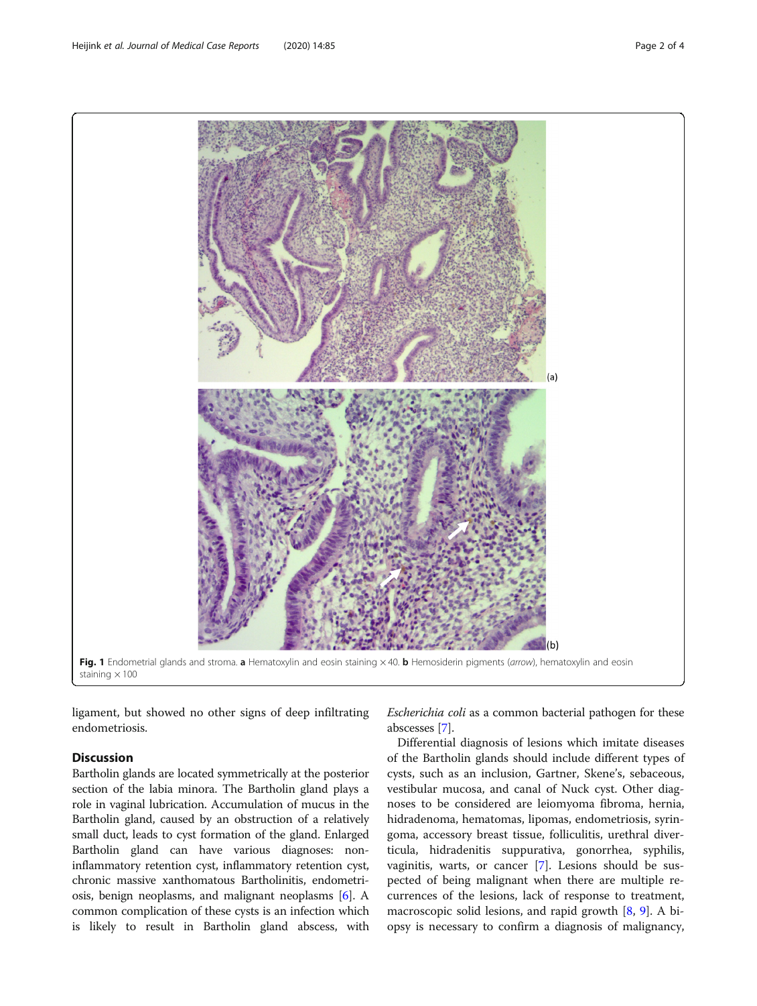<span id="page-1-0"></span>

ligament, but showed no other signs of deep infiltrating endometriosis.

### **Discussion**

Bartholin glands are located symmetrically at the posterior section of the labia minora. The Bartholin gland plays a role in vaginal lubrication. Accumulation of mucus in the Bartholin gland, caused by an obstruction of a relatively small duct, leads to cyst formation of the gland. Enlarged Bartholin gland can have various diagnoses: noninflammatory retention cyst, inflammatory retention cyst, chronic massive xanthomatous Bartholinitis, endometriosis, benign neoplasms, and malignant neoplasms [[6](#page-3-0)]. A common complication of these cysts is an infection which is likely to result in Bartholin gland abscess, with

Escherichia coli as a common bacterial pathogen for these abscesses [\[7](#page-3-0)].

Differential diagnosis of lesions which imitate diseases of the Bartholin glands should include different types of cysts, such as an inclusion, Gartner, Skene's, sebaceous, vestibular mucosa, and canal of Nuck cyst. Other diagnoses to be considered are leiomyoma fibroma, hernia, hidradenoma, hematomas, lipomas, endometriosis, syringoma, accessory breast tissue, folliculitis, urethral diverticula, hidradenitis suppurativa, gonorrhea, syphilis, vaginitis, warts, or cancer [[7\]](#page-3-0). Lesions should be suspected of being malignant when there are multiple recurrences of the lesions, lack of response to treatment, macroscopic solid lesions, and rapid growth  $[8, 9]$  $[8, 9]$  $[8, 9]$  $[8, 9]$ . A biopsy is necessary to confirm a diagnosis of malignancy,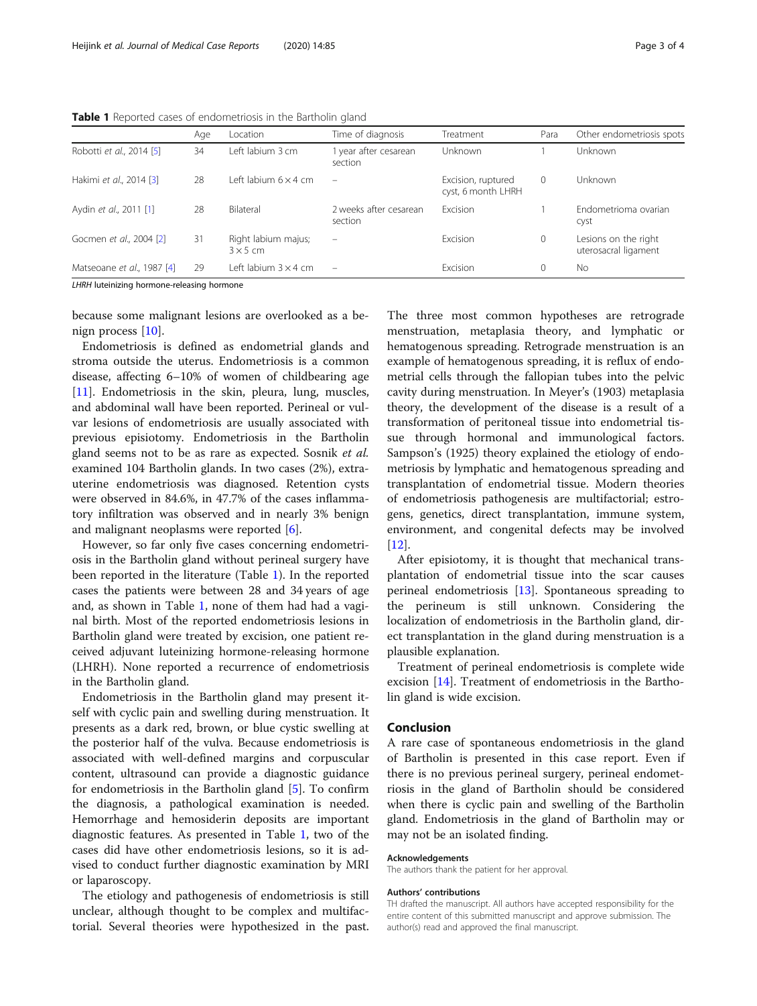|                            | Age | Location                               | Time of diagnosis                 | Treatment                                | Para         | Other endometriosis spots                    |
|----------------------------|-----|----------------------------------------|-----------------------------------|------------------------------------------|--------------|----------------------------------------------|
| Robotti et al., 2014 [5]   | 34  | Left labium 3 cm                       | 1 year after cesarean<br>section  | <b>Unknown</b>                           |              | <b>Unknown</b>                               |
| Hakimi et al., 2014 [3]    | 28  | Left labium $6 \times 4$ cm            |                                   | Excision, ruptured<br>cyst, 6 month LHRH | $\mathbf 0$  | Unknown                                      |
| Aydin et al., 2011 [1]     | 28  | Bilateral                              | 2 weeks after cesarean<br>section | Excision                                 |              | Endometrioma ovarian<br>Cyst                 |
| Gocmen et al., 2004 [2]    | 31  | Right labium majus;<br>$3 \times 5$ cm | $\overline{\phantom{m}}$          | Excision                                 | $\mathbf{0}$ | Lesions on the right<br>uterosacral ligament |
| Matseoane et al., 1987 [4] | 29  | Left labium $3 \times 4$ cm            | $\overline{\phantom{0}}$          | Excision                                 | $\mathbf 0$  | <b>No</b>                                    |

Table 1 Reported cases of endometriosis in the Bartholin gland

LHRH luteinizing hormone-releasing hormone

because some malignant lesions are overlooked as a benign process [\[10](#page-3-0)].

Endometriosis is defined as endometrial glands and stroma outside the uterus. Endometriosis is a common disease, affecting 6–10% of women of childbearing age [[11\]](#page-3-0). Endometriosis in the skin, pleura, lung, muscles, and abdominal wall have been reported. Perineal or vulvar lesions of endometriosis are usually associated with previous episiotomy. Endometriosis in the Bartholin gland seems not to be as rare as expected. Sosnik et al. examined 104 Bartholin glands. In two cases (2%), extrauterine endometriosis was diagnosed. Retention cysts were observed in 84.6%, in 47.7% of the cases inflammatory infiltration was observed and in nearly 3% benign and malignant neoplasms were reported [\[6](#page-3-0)].

However, so far only five cases concerning endometriosis in the Bartholin gland without perineal surgery have been reported in the literature (Table 1). In the reported cases the patients were between 28 and 34 years of age and, as shown in Table 1, none of them had had a vaginal birth. Most of the reported endometriosis lesions in Bartholin gland were treated by excision, one patient received adjuvant luteinizing hormone-releasing hormone (LHRH). None reported a recurrence of endometriosis in the Bartholin gland.

Endometriosis in the Bartholin gland may present itself with cyclic pain and swelling during menstruation. It presents as a dark red, brown, or blue cystic swelling at the posterior half of the vulva. Because endometriosis is associated with well-defined margins and corpuscular content, ultrasound can provide a diagnostic guidance for endometriosis in the Bartholin gland [[5\]](#page-3-0). To confirm the diagnosis, a pathological examination is needed. Hemorrhage and hemosiderin deposits are important diagnostic features. As presented in Table 1, two of the cases did have other endometriosis lesions, so it is advised to conduct further diagnostic examination by MRI or laparoscopy.

The etiology and pathogenesis of endometriosis is still unclear, although thought to be complex and multifactorial. Several theories were hypothesized in the past. The three most common hypotheses are retrograde menstruation, metaplasia theory, and lymphatic or hematogenous spreading. Retrograde menstruation is an example of hematogenous spreading, it is reflux of endometrial cells through the fallopian tubes into the pelvic cavity during menstruation. In Meyer's (1903) metaplasia theory, the development of the disease is a result of a transformation of peritoneal tissue into endometrial tissue through hormonal and immunological factors. Sampson's (1925) theory explained the etiology of endometriosis by lymphatic and hematogenous spreading and transplantation of endometrial tissue. Modern theories of endometriosis pathogenesis are multifactorial; estrogens, genetics, direct transplantation, immune system, environment, and congenital defects may be involved [[12\]](#page-3-0).

After episiotomy, it is thought that mechanical transplantation of endometrial tissue into the scar causes perineal endometriosis [\[13\]](#page-3-0). Spontaneous spreading to the perineum is still unknown. Considering the localization of endometriosis in the Bartholin gland, direct transplantation in the gland during menstruation is a plausible explanation.

Treatment of perineal endometriosis is complete wide excision [\[14\]](#page-3-0). Treatment of endometriosis in the Bartholin gland is wide excision.

#### Conclusion

A rare case of spontaneous endometriosis in the gland of Bartholin is presented in this case report. Even if there is no previous perineal surgery, perineal endometriosis in the gland of Bartholin should be considered when there is cyclic pain and swelling of the Bartholin gland. Endometriosis in the gland of Bartholin may or may not be an isolated finding.

#### Acknowledgements

The authors thank the patient for her approval.

#### Authors' contributions

TH drafted the manuscript. All authors have accepted responsibility for the entire content of this submitted manuscript and approve submission. The author(s) read and approved the final manuscript.